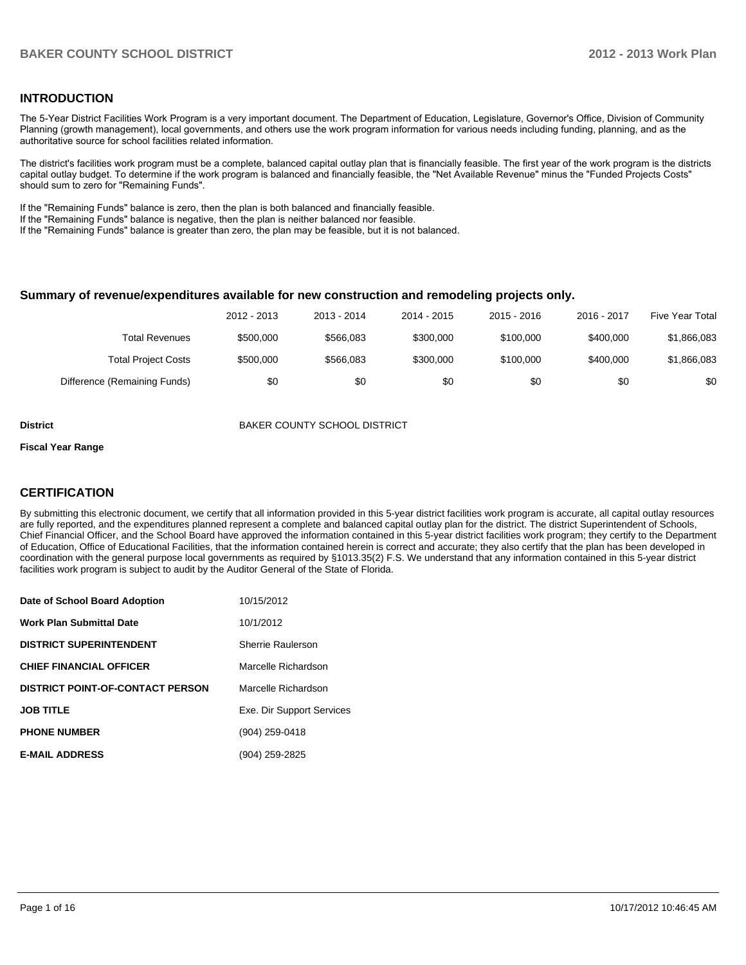### **INTRODUCTION**

The 5-Year District Facilities Work Program is a very important document. The Department of Education, Legislature, Governor's Office, Division of Community Planning (growth management), local governments, and others use the work program information for various needs including funding, planning, and as the authoritative source for school facilities related information.

The district's facilities work program must be a complete, balanced capital outlay plan that is financially feasible. The first year of the work program is the districts capital outlay budget. To determine if the work program is balanced and financially feasible, the "Net Available Revenue" minus the "Funded Projects Costs" should sum to zero for "Remaining Funds".

If the "Remaining Funds" balance is zero, then the plan is both balanced and financially feasible.

If the "Remaining Funds" balance is negative, then the plan is neither balanced nor feasible.

If the "Remaining Funds" balance is greater than zero, the plan may be feasible, but it is not balanced.

#### **Summary of revenue/expenditures available for new construction and remodeling projects only.**

|                              | 2012 - 2013 | 2013 - 2014 | 2014 - 2015 | $2015 - 2016$ | 2016 - 2017 | Five Year Total |
|------------------------------|-------------|-------------|-------------|---------------|-------------|-----------------|
| Total Revenues               | \$500,000   | \$566.083   | \$300,000   | \$100,000     | \$400,000   | \$1,866,083     |
| <b>Total Project Costs</b>   | \$500,000   | \$566.083   | \$300,000   | \$100,000     | \$400,000   | \$1,866,083     |
| Difference (Remaining Funds) | \$0         | \$0         | \$0         | \$0           | \$0         | \$0             |

**District District BAKER COUNTY SCHOOL DISTRICT** 

#### **Fiscal Year Range**

### **CERTIFICATION**

By submitting this electronic document, we certify that all information provided in this 5-year district facilities work program is accurate, all capital outlay resources are fully reported, and the expenditures planned represent a complete and balanced capital outlay plan for the district. The district Superintendent of Schools, Chief Financial Officer, and the School Board have approved the information contained in this 5-year district facilities work program; they certify to the Department of Education, Office of Educational Facilities, that the information contained herein is correct and accurate; they also certify that the plan has been developed in coordination with the general purpose local governments as required by §1013.35(2) F.S. We understand that any information contained in this 5-year district facilities work program is subject to audit by the Auditor General of the State of Florida.

| Date of School Board Adoption           | 10/15/2012                |
|-----------------------------------------|---------------------------|
| <b>Work Plan Submittal Date</b>         | 10/1/2012                 |
| <b>DISTRICT SUPERINTENDENT</b>          | Sherrie Raulerson         |
| <b>CHIEF FINANCIAL OFFICER</b>          | Marcelle Richardson       |
| <b>DISTRICT POINT-OF-CONTACT PERSON</b> | Marcelle Richardson       |
| <b>JOB TITLE</b>                        | Exe. Dir Support Services |
| <b>PHONE NUMBER</b>                     | (904) 259-0418            |
| <b>E-MAIL ADDRESS</b>                   | (904) 259-2825            |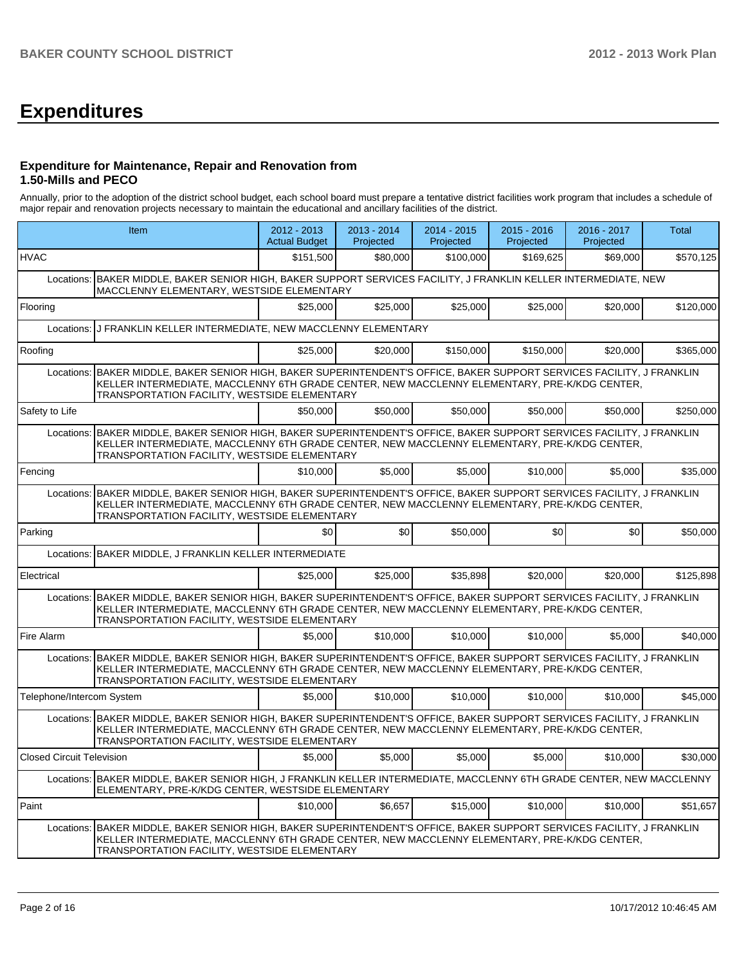# **Expenditures**

#### **Expenditure for Maintenance, Repair and Renovation from 1.50-Mills and PECO**

Annually, prior to the adoption of the district school budget, each school board must prepare a tentative district facilities work program that includes a schedule of major repair and renovation projects necessary to maintain the educational and ancillary facilities of the district.

|                                  | Item                                                                                                                                                                                                                                                                   | $2012 - 2013$<br><b>Actual Budget</b> | $2013 - 2014$<br>Projected | $2014 - 2015$<br>Projected | 2015 - 2016<br>Projected | 2016 - 2017<br>Projected | <b>Total</b> |  |  |
|----------------------------------|------------------------------------------------------------------------------------------------------------------------------------------------------------------------------------------------------------------------------------------------------------------------|---------------------------------------|----------------------------|----------------------------|--------------------------|--------------------------|--------------|--|--|
| <b>HVAC</b>                      |                                                                                                                                                                                                                                                                        | \$151,500                             | \$80,000                   | \$100,000                  | \$169,625                | \$69,000                 | \$570,125    |  |  |
|                                  | Locations: BAKER MIDDLE, BAKER SENIOR HIGH, BAKER SUPPORT SERVICES FACILITY, J FRANKLIN KELLER INTERMEDIATE, NEW<br>MACCLENNY ELEMENTARY, WESTSIDE ELEMENTARY                                                                                                          |                                       |                            |                            |                          |                          |              |  |  |
| Flooring                         |                                                                                                                                                                                                                                                                        | \$25,000                              | \$25,000                   | \$25,000                   | \$25,000                 | \$20,000                 | \$120,000    |  |  |
| Locations:                       | J FRANKLIN KELLER INTERMEDIATE, NEW MACCLENNY ELEMENTARY                                                                                                                                                                                                               |                                       |                            |                            |                          |                          |              |  |  |
| Roofing                          |                                                                                                                                                                                                                                                                        | \$25,000                              | \$20,000                   | \$150,000                  | \$150,000                | \$20,000                 | \$365,000    |  |  |
| Locations:                       | IBAKER MIDDLE. BAKER SENIOR HIGH. BAKER SUPERINTENDENT'S OFFICE. BAKER SUPPORT SERVICES FACILITY. J FRANKLIN<br>KELLER INTERMEDIATE, MACCLENNY 6TH GRADE CENTER, NEW MACCLENNY ELEMENTARY, PRE-K/KDG CENTER,<br>TRANSPORTATION FACILITY, WESTSIDE ELEMENTARY           |                                       |                            |                            |                          |                          |              |  |  |
| Safety to Life                   |                                                                                                                                                                                                                                                                        | \$50,000                              | \$50,000                   | \$50,000                   | \$50,000                 | \$50,000                 | \$250,000    |  |  |
| Locations:                       | BAKER MIDDLE, BAKER SENIOR HIGH, BAKER SUPERINTENDENT'S OFFICE, BAKER SUPPORT SERVICES FACILITY, J FRANKLIN<br>KELLER INTERMEDIATE, MACCLENNY 6TH GRADE CENTER, NEW MACCLENNY ELEMENTARY, PRE-K/KDG CENTER,<br>TRANSPORTATION FACILITY, WESTSIDE ELEMENTARY            |                                       |                            |                            |                          |                          |              |  |  |
| Fencing                          |                                                                                                                                                                                                                                                                        | \$10,000                              | \$5,000                    | \$5,000                    | \$10,000                 | \$5,000                  | \$35,000     |  |  |
|                                  | Locations: BAKER MIDDLE, BAKER SENIOR HIGH, BAKER SUPERINTENDENT'S OFFICE, BAKER SUPPORT SERVICES FACILITY, J FRANKLIN<br>KELLER INTERMEDIATE, MACCLENNY 6TH GRADE CENTER, NEW MACCLENNY ELEMENTARY, PRE-K/KDG CENTER,<br>TRANSPORTATION FACILITY, WESTSIDE ELEMENTARY |                                       |                            |                            |                          |                          |              |  |  |
| Parking                          |                                                                                                                                                                                                                                                                        | \$0                                   | \$0                        | \$50,000                   | \$0                      | \$0                      | \$50,000     |  |  |
| Locations:                       | BAKER MIDDLE, J FRANKLIN KELLER INTERMEDIATE                                                                                                                                                                                                                           |                                       |                            |                            |                          |                          |              |  |  |
| Electrical                       |                                                                                                                                                                                                                                                                        | \$25,000                              | \$25,000                   | \$35,898                   | \$20,000                 | \$20,000                 | \$125,898    |  |  |
|                                  | Locations: BAKER MIDDLE, BAKER SENIOR HIGH, BAKER SUPERINTENDENT'S OFFICE, BAKER SUPPORT SERVICES FACILITY, J FRANKLIN<br>KELLER INTERMEDIATE, MACCLENNY 6TH GRADE CENTER, NEW MACCLENNY ELEMENTARY, PRE-K/KDG CENTER,<br>TRANSPORTATION FACILITY, WESTSIDE ELEMENTARY |                                       |                            |                            |                          |                          |              |  |  |
| Fire Alarm                       |                                                                                                                                                                                                                                                                        | \$5,000                               | \$10,000                   | \$10,000                   | \$10,000                 | \$5,000                  | \$40,000     |  |  |
|                                  | Locations: BAKER MIDDLE, BAKER SENIOR HIGH, BAKER SUPERINTENDENT'S OFFICE, BAKER SUPPORT SERVICES FACILITY, J FRANKLIN<br>KELLER INTERMEDIATE, MACCLENNY 6TH GRADE CENTER, NEW MACCLENNY ELEMENTARY, PRE-K/KDG CENTER,<br>TRANSPORTATION FACILITY, WESTSIDE ELEMENTARY |                                       |                            |                            |                          |                          |              |  |  |
| Telephone/Intercom System        |                                                                                                                                                                                                                                                                        | \$5,000                               | \$10,000                   | \$10,000                   | \$10,000                 | \$10,000                 | \$45,000     |  |  |
|                                  | Locations: BAKER MIDDLE, BAKER SENIOR HIGH, BAKER SUPERINTENDENT'S OFFICE, BAKER SUPPORT SERVICES FACILITY, J FRANKLIN<br>KELLER INTERMEDIATE, MACCLENNY 6TH GRADE CENTER, NEW MACCLENNY ELEMENTARY, PRE-K/KDG CENTER,<br>TRANSPORTATION FACILITY, WESTSIDE ELEMENTARY |                                       |                            |                            |                          |                          |              |  |  |
| <b>Closed Circuit Television</b> |                                                                                                                                                                                                                                                                        | \$5,000                               | \$5,000                    | \$5,000                    | \$5,000                  | \$10,000                 | \$30,000     |  |  |
|                                  | Locations: BAKER MIDDLE, BAKER SENIOR HIGH, J FRANKLIN KELLER INTERMEDIATE, MACCLENNY 6TH GRADE CENTER, NEW MACCLENNY<br>ELEMENTARY, PRE-K/KDG CENTER, WESTSIDE ELEMENTARY                                                                                             |                                       |                            |                            |                          |                          |              |  |  |
| Paint                            |                                                                                                                                                                                                                                                                        | \$10,000                              | \$6,657                    | \$15,000                   | \$10,000                 | \$10,000                 | \$51,657     |  |  |
|                                  | Locations: BAKER MIDDLE, BAKER SENIOR HIGH, BAKER SUPERINTENDENT'S OFFICE, BAKER SUPPORT SERVICES FACILITY, J FRANKLIN<br>KELLER INTERMEDIATE, MACCLENNY 6TH GRADE CENTER, NEW MACCLENNY ELEMENTARY, PRE-K/KDG CENTER,<br>TRANSPORTATION FACILITY, WESTSIDE ELEMENTARY |                                       |                            |                            |                          |                          |              |  |  |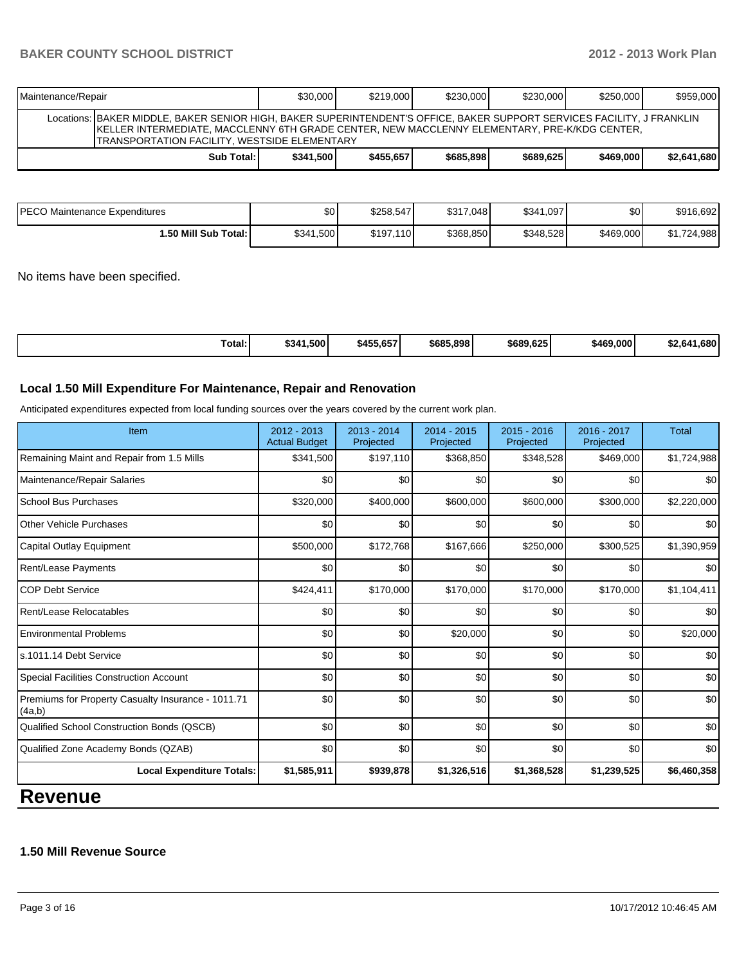# **BAKER COUNTY SCHOOL DISTRICT 2012 - 2013 Work Plan**

| Maintenance/Repair                                                                                                                                                                                                                                                       | \$30,000 | \$219.000 | \$230,000 | \$230,000 | \$250.000 | \$959,000 |  |  |
|--------------------------------------------------------------------------------------------------------------------------------------------------------------------------------------------------------------------------------------------------------------------------|----------|-----------|-----------|-----------|-----------|-----------|--|--|
| Locations: BAKER MIDDLE, BAKER SENIOR HIGH, BAKER SUPERINTENDENT'S OFFICE, BAKER SUPPORT SERVICES FACILITY, J FRANKLIN<br>IKELLER INTERMEDIATE, MACCLENNY 6TH GRADE CENTER, NEW MACCLENNY ELEMENTARY, PRE-K/KDG CENTER,<br>ITRANSPORTATION FACILITY. WESTSIDE ELEMENTARY |          |           |           |           |           |           |  |  |
| \$2,641,680<br>\$685.898<br>Sub Total: I<br>\$689.625<br>\$341,500<br>\$455.6571<br>\$469,000                                                                                                                                                                            |          |           |           |           |           |           |  |  |

| <b>PECO Maintenance Expenditures</b> | \$0       | \$258,547     | \$317,048 | \$341,097 | \$0       | \$916,692       |
|--------------------------------------|-----------|---------------|-----------|-----------|-----------|-----------------|
| 1.50 Mill Sub Total: I               | \$341,500 | \$197.<br>110 | \$368,850 | \$348.528 | \$469,000 | ,724,988<br>ـ ሳ |

No items have been specified.

| Total: | \$341.500<br>\$455,657 | \$685,898 | \$689.625 | \$469,000 | .680<br>2.641 |
|--------|------------------------|-----------|-----------|-----------|---------------|
|--------|------------------------|-----------|-----------|-----------|---------------|

### **Local 1.50 Mill Expenditure For Maintenance, Repair and Renovation**

Anticipated expenditures expected from local funding sources over the years covered by the current work plan.

| Item                                                         | $2012 - 2013$<br><b>Actual Budget</b> | $2013 - 2014$<br>Projected | $2014 - 2015$<br>Projected | 2015 - 2016<br>Projected | 2016 - 2017<br>Projected | <b>Total</b>     |
|--------------------------------------------------------------|---------------------------------------|----------------------------|----------------------------|--------------------------|--------------------------|------------------|
| Remaining Maint and Repair from 1.5 Mills                    | \$341,500                             | \$197,110                  | \$368,850                  | \$348,528                | \$469,000                | \$1,724,988      |
| Maintenance/Repair Salaries                                  | \$0                                   | \$0                        | \$0                        | \$0                      | \$0                      | \$0              |
| <b>School Bus Purchases</b>                                  | \$320,000                             | \$400,000                  | \$600,000                  | \$600,000                | \$300,000                | \$2,220,000      |
| <b>Other Vehicle Purchases</b>                               | \$0                                   | \$0                        | \$0                        | \$0                      | \$0                      | \$0 <sub>1</sub> |
| Capital Outlay Equipment                                     | \$500,000                             | \$172,768                  | \$167,666                  | \$250,000                | \$300,525                | \$1,390,959      |
| Rent/Lease Payments                                          | \$0                                   | \$0                        | \$0                        | \$0                      | \$0                      | \$0              |
| <b>COP Debt Service</b>                                      | \$424,411                             | \$170,000                  | \$170,000                  | \$170,000                | \$170,000                | \$1,104,411      |
| Rent/Lease Relocatables                                      | \$0                                   | \$0                        | \$0                        | \$0                      | \$0                      | \$0              |
| <b>Environmental Problems</b>                                | \$0                                   | \$0                        | \$20,000                   | \$0                      | \$0                      | \$20,000         |
| s.1011.14 Debt Service                                       | \$0                                   | \$0                        | \$0                        | \$0                      | \$0                      | \$0              |
| <b>Special Facilities Construction Account</b>               | \$0                                   | \$0                        | \$0                        | \$0                      | \$0                      | \$0              |
| Premiums for Property Casualty Insurance - 1011.71<br>(4a,b) | \$0                                   | \$0                        | \$0                        | \$0                      | \$0                      | \$0              |
| Qualified School Construction Bonds (QSCB)                   | \$0                                   | \$0                        | \$0                        | \$0                      | \$0                      | \$0              |
| Qualified Zone Academy Bonds (QZAB)                          | \$0                                   | \$0                        | \$0                        | \$0                      | \$0                      | \$0              |
| <b>Local Expenditure Totals:</b>                             | \$1,585,911                           | \$939,878                  | \$1,326,516                | \$1,368,528              | \$1,239,525              | \$6,460,358      |
|                                                              |                                       |                            |                            |                          |                          |                  |

# **Revenue**

## **1.50 Mill Revenue Source**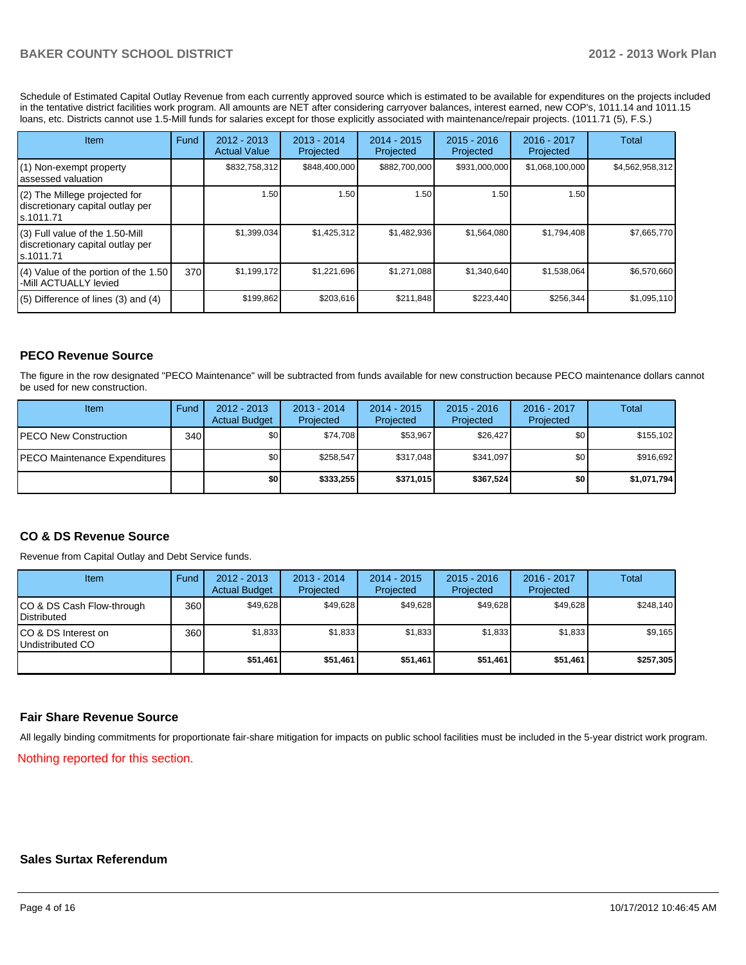Schedule of Estimated Capital Outlay Revenue from each currently approved source which is estimated to be available for expenditures on the projects included in the tentative district facilities work program. All amounts are NET after considering carryover balances, interest earned, new COP's, 1011.14 and 1011.15 loans, etc. Districts cannot use 1.5-Mill funds for salaries except for those explicitly associated with maintenance/repair projects. (1011.71 (5), F.S.)

| Item                                                                                | Fund | $2012 - 2013$<br><b>Actual Value</b> | $2013 - 2014$<br>Projected | 2014 - 2015<br>Projected | $2015 - 2016$<br>Projected | 2016 - 2017<br>Projected | Total           |
|-------------------------------------------------------------------------------------|------|--------------------------------------|----------------------------|--------------------------|----------------------------|--------------------------|-----------------|
| $(1)$ Non-exempt property<br>lassessed valuation                                    |      | \$832,758,312                        | \$848,400,000              | \$882,700,000            | \$931,000,000              | \$1,068,100,000          | \$4,562,958,312 |
| (2) The Millege projected for<br>discretionary capital outlay per<br>ls.1011.71     |      | 1.50                                 | 1.50 I                     | 1.50                     | 1.50                       | 1.50                     |                 |
| $(3)$ Full value of the 1.50-Mill<br>discretionary capital outlay per<br>ls.1011.71 |      | \$1,399,034                          | \$1,425,312                | \$1,482,936              | \$1,564,080                | \$1,794,408              | \$7,665,770     |
| $(4)$ Value of the portion of the 1.50<br>-Mill ACTUALLY levied                     | 370  | \$1,199,172                          | \$1,221,696                | \$1,271,088              | \$1,340,640                | \$1,538,064              | \$6,570,660     |
| $(5)$ Difference of lines (3) and (4)                                               |      | \$199,862                            | \$203,616                  | \$211,848                | \$223,440                  | \$256,344                | \$1,095,110     |

## **PECO Revenue Source**

The figure in the row designated "PECO Maintenance" will be subtracted from funds available for new construction because PECO maintenance dollars cannot be used for new construction.

| Item                                  | Fund | $2012 - 2013$<br><b>Actual Budget</b> | $2013 - 2014$<br>Projected | $2014 - 2015$<br>Projected | $2015 - 2016$<br>Projected | $2016 - 2017$<br>Projected | Total       |
|---------------------------------------|------|---------------------------------------|----------------------------|----------------------------|----------------------------|----------------------------|-------------|
| <b>PECO New Construction</b>          | 340  | \$0                                   | \$74,708                   | \$53.967                   | \$26,427                   | \$0 <sub>1</sub>           | \$155,102   |
| <b>IPECO Maintenance Expenditures</b> |      | \$0                                   | \$258,547                  | \$317.048                  | \$341.097                  | \$0 <sub>1</sub>           | \$916,692   |
|                                       |      | \$0                                   | \$333.255                  | \$371.015                  | \$367.524                  | <b>\$01</b>                | \$1,071,794 |

#### **CO & DS Revenue Source**

Revenue from Capital Outlay and Debt Service funds.

| Item                                              | Fund | 2012 - 2013<br><b>Actual Budget</b> | $2013 - 2014$<br>Projected | $2014 - 2015$<br>Projected | $2015 - 2016$<br>Projected | $2016 - 2017$<br>Projected | Total     |
|---------------------------------------------------|------|-------------------------------------|----------------------------|----------------------------|----------------------------|----------------------------|-----------|
| CO & DS Cash Flow-through<br><b>I</b> Distributed | 360  | \$49.628                            | \$49,628                   | \$49.628                   | \$49.628                   | \$49.628                   | \$248,140 |
| ICO & DS Interest on<br>Undistributed CO          | 360  | \$1,833                             | \$1,833                    | \$1,833                    | \$1,833                    | \$1,833                    | \$9,165   |
|                                                   |      | \$51,461                            | \$51,461                   | \$51,461                   | \$51,461                   | \$51,461                   | \$257,305 |

#### **Fair Share Revenue Source**

All legally binding commitments for proportionate fair-share mitigation for impacts on public school facilities must be included in the 5-year district work program.

Nothing reported for this section.

#### **Sales Surtax Referendum**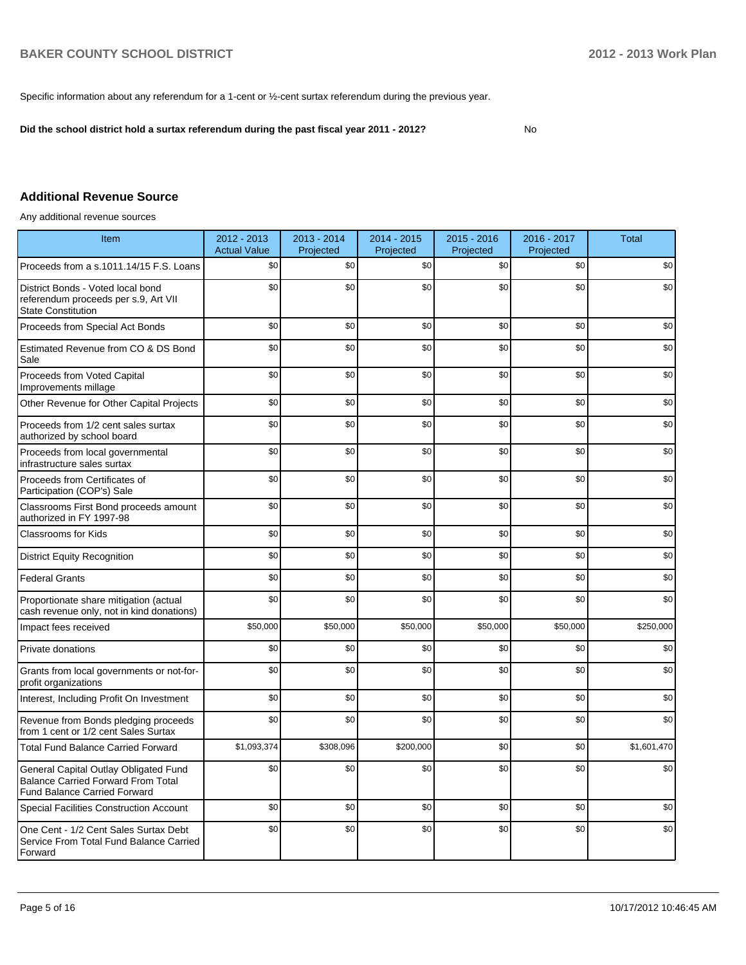Specific information about any referendum for a 1-cent or ½-cent surtax referendum during the previous year.

**Did the school district hold a surtax referendum during the past fiscal year 2011 - 2012?**

No

## **Additional Revenue Source**

Any additional revenue sources

| Item                                                                                                                      | 2012 - 2013<br><b>Actual Value</b> | 2013 - 2014<br>Projected | 2014 - 2015<br>Projected | $2015 - 2016$<br>Projected | 2016 - 2017<br>Projected | <b>Total</b> |
|---------------------------------------------------------------------------------------------------------------------------|------------------------------------|--------------------------|--------------------------|----------------------------|--------------------------|--------------|
| Proceeds from a s.1011.14/15 F.S. Loans                                                                                   | \$0                                | \$0                      | \$0                      | \$0                        | \$0                      | \$0          |
| District Bonds - Voted local bond<br>referendum proceeds per s.9, Art VII<br><b>State Constitution</b>                    | \$0                                | \$0                      | \$0                      | \$0                        | \$0                      | \$0          |
| Proceeds from Special Act Bonds                                                                                           | \$0                                | \$0                      | \$0                      | \$0                        | \$0                      | \$0          |
| Estimated Revenue from CO & DS Bond<br>Sale                                                                               | \$0                                | \$0                      | \$0                      | \$0                        | \$0                      | \$0          |
| Proceeds from Voted Capital<br>Improvements millage                                                                       | \$0                                | \$0                      | \$0                      | \$0                        | \$0                      | \$0          |
| Other Revenue for Other Capital Projects                                                                                  | \$0                                | \$0                      | \$0                      | \$0                        | \$0                      | \$0          |
| Proceeds from 1/2 cent sales surtax<br>authorized by school board                                                         | \$0                                | \$0                      | \$0                      | \$0                        | \$0                      | \$0          |
| Proceeds from local governmental<br>infrastructure sales surtax                                                           | \$0                                | \$0                      | \$0                      | \$0                        | \$0                      | \$0          |
| Proceeds from Certificates of<br>Participation (COP's) Sale                                                               | \$0                                | \$0                      | \$0                      | \$0                        | \$0                      | \$0          |
| Classrooms First Bond proceeds amount<br>authorized in FY 1997-98                                                         | \$0                                | \$0                      | \$0                      | \$0                        | \$0                      | \$0          |
| <b>Classrooms for Kids</b>                                                                                                | \$0                                | \$0                      | \$0                      | \$0                        | \$0                      | \$0          |
| <b>District Equity Recognition</b>                                                                                        | \$0                                | \$0                      | \$0                      | \$0                        | \$0                      | \$0          |
| <b>Federal Grants</b>                                                                                                     | \$0                                | \$0                      | \$0                      | \$0                        | \$0                      | \$0          |
| Proportionate share mitigation (actual<br>cash revenue only, not in kind donations)                                       | \$0                                | \$0                      | \$0                      | \$0                        | \$0                      | \$0          |
| Impact fees received                                                                                                      | \$50,000                           | \$50,000                 | \$50,000                 | \$50,000                   | \$50,000                 | \$250,000    |
| Private donations                                                                                                         | \$0                                | \$0                      | \$0                      | \$0                        | \$0                      | \$0          |
| Grants from local governments or not-for-<br>profit organizations                                                         | \$0                                | \$0                      | \$0                      | \$0                        | \$0                      | \$0          |
| Interest, Including Profit On Investment                                                                                  | \$0                                | \$0                      | \$0                      | \$0                        | \$0                      | \$0          |
| Revenue from Bonds pledging proceeds<br>from 1 cent or 1/2 cent Sales Surtax                                              | \$0                                | \$0                      | \$0                      | \$0                        | \$0                      | \$0          |
| <b>Total Fund Balance Carried Forward</b>                                                                                 | \$1,093,374                        | \$308,096                | \$200,000                | \$0                        | \$0                      | \$1,601,470  |
| General Capital Outlay Obligated Fund<br><b>Balance Carried Forward From Total</b><br><b>Fund Balance Carried Forward</b> | \$0                                | \$0                      | \$0                      | \$0                        | \$0                      | \$0          |
| <b>Special Facilities Construction Account</b>                                                                            | \$0                                | \$0                      | \$0                      | \$0                        | \$0                      | \$0          |
| One Cent - 1/2 Cent Sales Surtax Debt<br>Service From Total Fund Balance Carried<br>Forward                               | \$0                                | \$0                      | \$0                      | \$0                        | \$0                      | \$0          |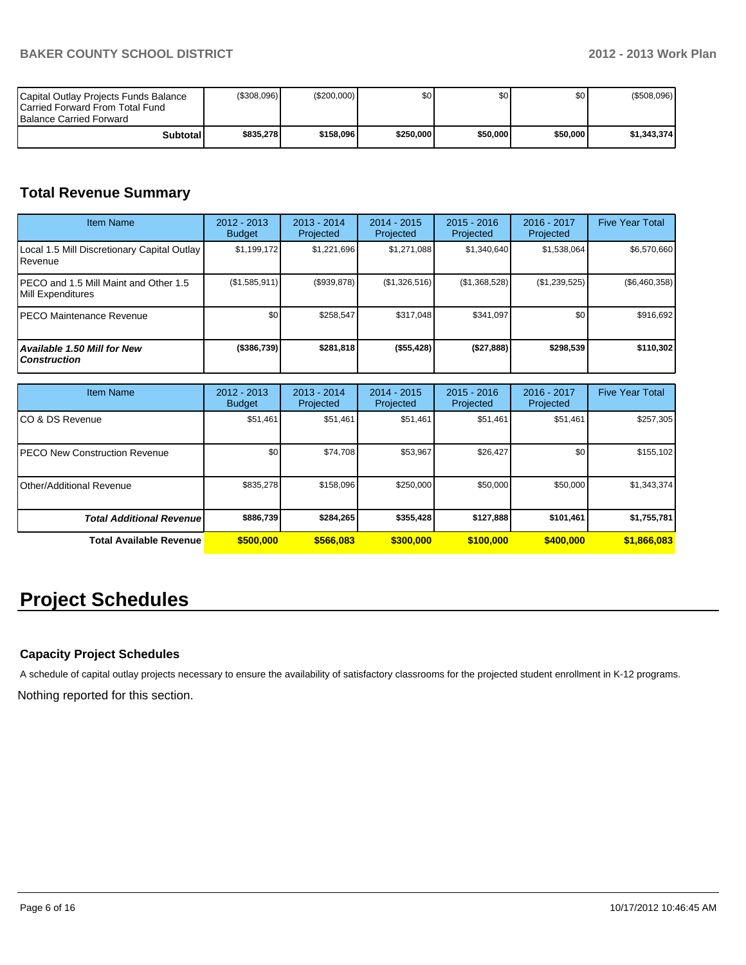| Capital Outlay Projects Funds Balance<br><b>ICarried Forward From Total Fund</b><br><b>Balance Carried Forward</b> | (S308.096) | (S200.000) | \$0       | \$O I      | \$0 <sub>1</sub> | (\$508,096) |
|--------------------------------------------------------------------------------------------------------------------|------------|------------|-----------|------------|------------------|-------------|
| Subtotall                                                                                                          | \$835.278  | \$158,096  | \$250,000 | \$50.000 l | \$50,000         | \$1.343.374 |

# **Total Revenue Summary**

| <b>Item Name</b>                                           | 2012 - 2013<br><b>Budget</b> | $2013 - 2014$<br>Projected | $2014 - 2015$<br>Projected | $2015 - 2016$<br>Projected | 2016 - 2017<br>Projected | <b>Five Year Total</b> |
|------------------------------------------------------------|------------------------------|----------------------------|----------------------------|----------------------------|--------------------------|------------------------|
| Local 1.5 Mill Discretionary Capital Outlay<br>l Revenue   | \$1,199,172                  | \$1,221,696                | \$1,271,088                | \$1,340,640                | \$1,538,064              | \$6,570,660            |
| PECO and 1.5 Mill Maint and Other 1.5<br>Mill Expenditures | (S1, 585, 911)               | (S939, 878)                | (\$1,326,516)              | (S1, 368, 528)             | (\$1,239,525)            | $(\$6,460,358)$        |
| IPECO Maintenance Revenue                                  | \$0                          | \$258.547                  | \$317.048                  | \$341.097                  | \$0                      | \$916,692              |
| Available 1.50 Mill for New<br><b>Construction</b>         | ( \$386, 739)                | \$281,818                  | (\$55,428)                 | (\$27,888)                 | \$298,539                | \$110,302              |

| <b>Item Name</b>                      | 2012 - 2013<br><b>Budget</b> | $2013 - 2014$<br>Projected | $2014 - 2015$<br>Projected | $2015 - 2016$<br>Projected | 2016 - 2017<br>Projected | <b>Five Year Total</b> |
|---------------------------------------|------------------------------|----------------------------|----------------------------|----------------------------|--------------------------|------------------------|
| ICO & DS Revenue                      | \$51,461                     | \$51,461                   | \$51,461                   | \$51,461                   | \$51,461                 | \$257,305              |
| <b>IPECO New Construction Revenue</b> | \$0                          | \$74,708                   | \$53,967                   | \$26,427                   | \$0 <sub>1</sub>         | \$155,102              |
| Other/Additional Revenue              | \$835,278                    | \$158,096                  | \$250,000                  | \$50,000                   | \$50,000                 | \$1,343,374            |
| <b>Total Additional Revenuel</b>      | \$886,739                    | \$284,265                  | \$355,428                  | \$127,888                  | \$101.461                | \$1,755,781            |
| <b>Total Available Revenue</b>        | \$500,000                    | \$566,083                  | \$300,000                  | \$100,000                  | \$400,000                | \$1,866,083            |

# **Project Schedules**

# **Capacity Project Schedules**

A schedule of capital outlay projects necessary to ensure the availability of satisfactory classrooms for the projected student enrollment in K-12 programs.

Nothing reported for this section.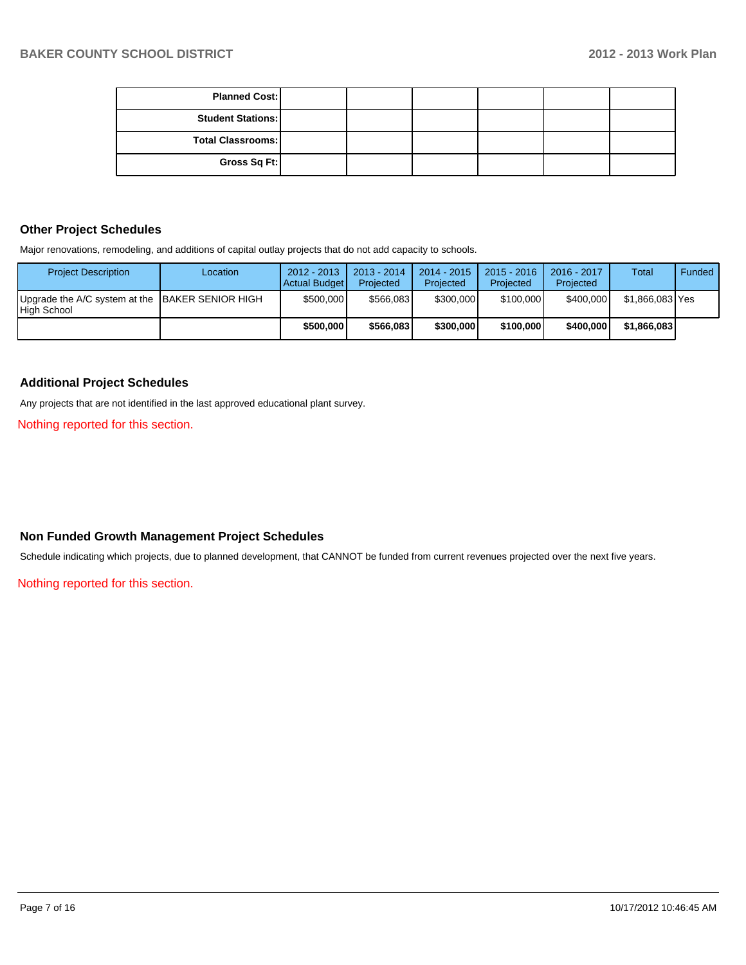| <b>Planned Cost:</b>     |  |  |  |
|--------------------------|--|--|--|
| <b>Student Stations:</b> |  |  |  |
| <b>Total Classrooms:</b> |  |  |  |
| Gross Sq Ft:             |  |  |  |

### **Other Project Schedules**

Major renovations, remodeling, and additions of capital outlay projects that do not add capacity to schools.

| <b>Project Description</b>                                     | Location | $2012 - 2013$<br><b>Actual Budget</b> | $2013 - 2014$<br>Projected | 2014 - 2015<br>Projected | $2015 - 2016$<br>Projected | $2016 - 2017$<br>Projected | <b>Total</b>    | Funded |
|----------------------------------------------------------------|----------|---------------------------------------|----------------------------|--------------------------|----------------------------|----------------------------|-----------------|--------|
| Upgrade the A/C system at the BAKER SENIOR HIGH<br>High School |          | \$500,000                             | \$566,083                  | \$300,000                | \$100,000                  | \$400,000                  | \$1,866,083 Yes |        |
|                                                                |          | \$500,000                             | \$566,083                  | \$300,000                | \$100,000                  | \$400,000                  | \$1.866,083     |        |

#### **Additional Project Schedules**

Any projects that are not identified in the last approved educational plant survey.

Nothing reported for this section.

## **Non Funded Growth Management Project Schedules**

Schedule indicating which projects, due to planned development, that CANNOT be funded from current revenues projected over the next five years.

Nothing reported for this section.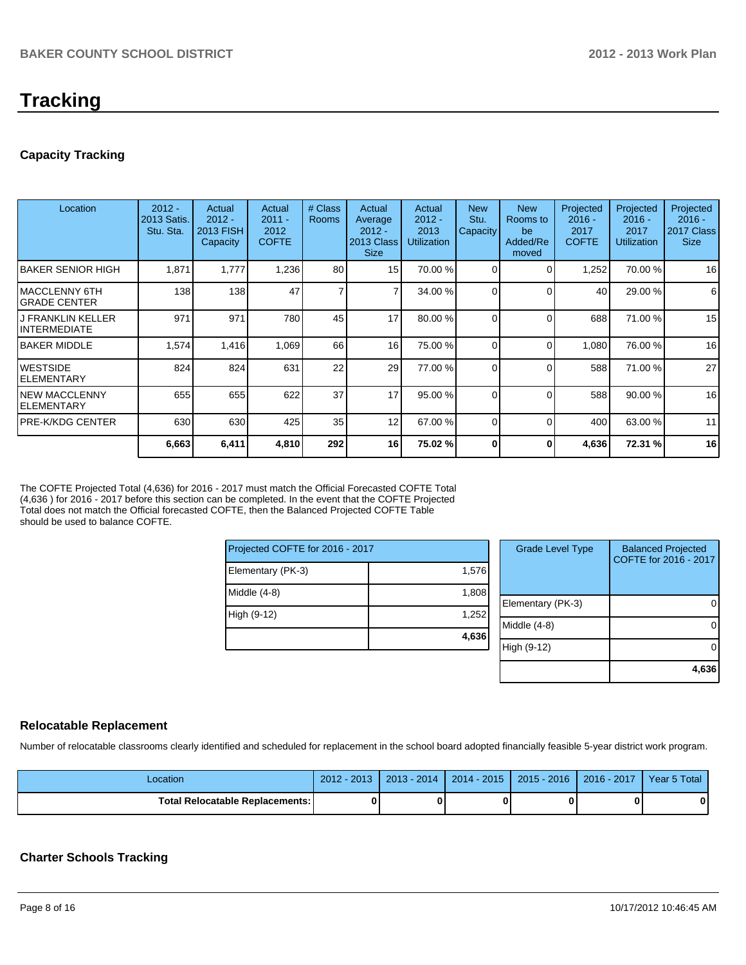# **Tracking**

## **Capacity Tracking**

| Location                                        | $2012 -$<br>2013 Satis.<br>Stu. Sta. | Actual<br>$2012 -$<br>2013 FISH<br>Capacity | Actual<br>$2011 -$<br>2012<br><b>COFTE</b> | # Class<br><b>Rooms</b> | Actual<br>Average<br>$2012 -$<br>2013 Class<br><b>Size</b> | Actual<br>$2012 -$<br>2013<br><b>Utilization</b> | <b>New</b><br>Stu.<br>Capacity | <b>New</b><br>Rooms to<br>be<br>Added/Re<br>moved | Projected<br>$2016 -$<br>2017<br><b>COFTE</b> | Projected<br>$2016 -$<br>2017<br><b>Utilization</b> | Projected<br>$2016 -$<br>2017 Class<br><b>Size</b> |
|-------------------------------------------------|--------------------------------------|---------------------------------------------|--------------------------------------------|-------------------------|------------------------------------------------------------|--------------------------------------------------|--------------------------------|---------------------------------------------------|-----------------------------------------------|-----------------------------------------------------|----------------------------------------------------|
| IBAKER SENIOR HIGH                              | 1,871                                | 1,777                                       | 1,236                                      | 80                      | 15                                                         | 70.00 %                                          | 0                              | ∩                                                 | 1,252                                         | 70.00%                                              | 16                                                 |
| MACCLENNY 6TH<br>IGRADE CENTER                  | 138                                  | 138                                         | 47                                         | 7                       | 7                                                          | 34.00 %                                          | 0                              | $\Omega$                                          | 40                                            | 29.00 %                                             | 6                                                  |
| <b>J FRANKLIN KELLER</b><br><b>INTERMEDIATE</b> | 971                                  | 971                                         | 780                                        | 45                      | 17                                                         | 80.00 %                                          | 0                              | $\Omega$                                          | 688                                           | 71.00 %                                             | 15                                                 |
| <b>IBAKER MIDDLE</b>                            | 1,574                                | 1,416                                       | 1,069                                      | 66                      | 16                                                         | 75.00 %                                          | 0                              | $\Omega$                                          | 1,080                                         | 76.00 %                                             | 16                                                 |
| <b>WESTSIDE</b><br>IELEMENTARY                  | 824                                  | 824                                         | 631                                        | 22                      | 29                                                         | 77.00 %                                          | $\Omega$                       | $\Omega$                                          | 588                                           | 71.00 %                                             | 27                                                 |
| <b>NEW MACCLENNY</b><br>IELEMENTARY             | 655                                  | 655                                         | 622                                        | 37                      | 17                                                         | 95.00 %                                          | <sup>0</sup>                   | $\Omega$                                          | 588                                           | 90.00 %                                             | 16                                                 |
| IPRE-K/KDG CENTER                               | 630                                  | 630                                         | 425                                        | 35                      | 12                                                         | 67.00 %                                          | 0                              | $\Omega$                                          | 400                                           | 63.00 %                                             | 11                                                 |
|                                                 | 6,663                                | 6,411                                       | 4,810                                      | 292                     | 16                                                         | 75.02 %                                          | U                              | O                                                 | 4,636                                         | 72.31 %                                             | 16                                                 |

The COFTE Projected Total (4,636) for 2016 - 2017 must match the Official Forecasted COFTE Total (4,636 ) for 2016 - 2017 before this section can be completed. In the event that the COFTE Projected Total does not match the Official forecasted COFTE, then the Balanced Projected COFTE Table should be used to balance COFTE.

| Projected COFTE for 2016 - 2017 |       |  |    |  |  |
|---------------------------------|-------|--|----|--|--|
| Elementary (PK-3)               | 1,576 |  |    |  |  |
| Middle (4-8)                    | 1,808 |  | EI |  |  |
| High (9-12)                     | 1,252 |  | M  |  |  |
|                                 | 4,636 |  |    |  |  |

| <b>Grade Level Type</b> | <b>Balanced Projected</b><br>COFTE for 2016 - 2017 |
|-------------------------|----------------------------------------------------|
| Elementary (PK-3)       |                                                    |
| Middle (4-8)            |                                                    |
| High (9-12)             |                                                    |
|                         | 4,636                                              |

#### **Relocatable Replacement**

Number of relocatable classrooms clearly identified and scheduled for replacement in the school board adopted financially feasible 5-year district work program.

| _ocation                          | $-2013$<br>$2012 -$ | 2014<br>$2013 -$ | $2014 - 2015$ | $2015 - 2016$ | 2016 - 2017 | Year 5 Total |
|-----------------------------------|---------------------|------------------|---------------|---------------|-------------|--------------|
| Total Relocatable Replacements: I | ŋ                   |                  |               |               |             |              |

## **Charter Schools Tracking**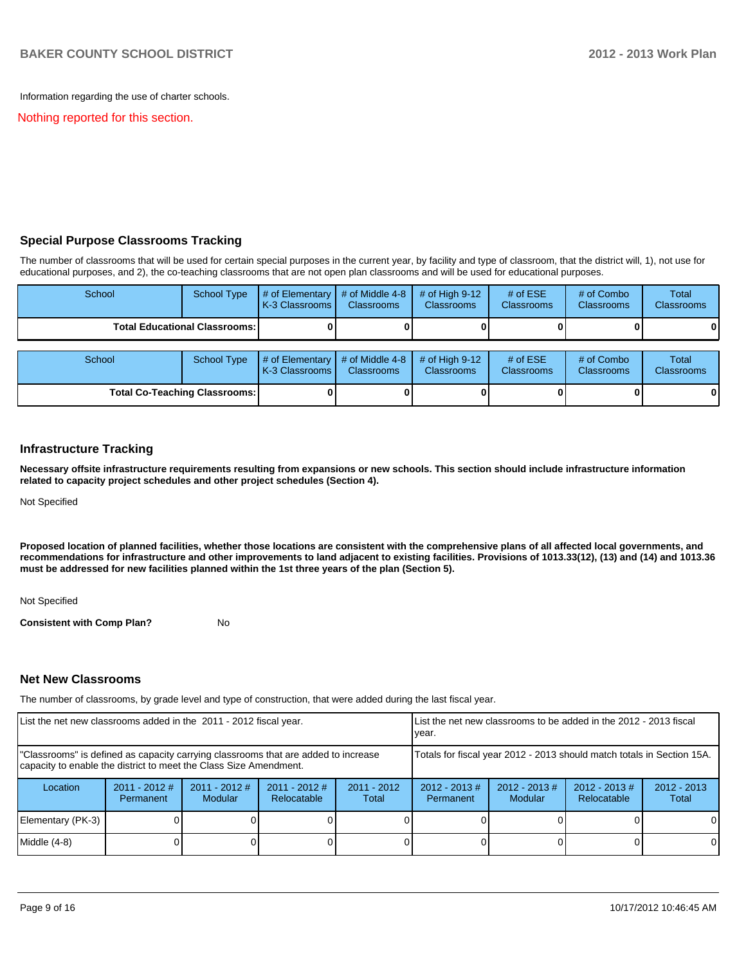Information regarding the use of charter schools.

Nothing reported for this section.

### **Special Purpose Classrooms Tracking**

The number of classrooms that will be used for certain special purposes in the current year, by facility and type of classroom, that the district will, 1), not use for educational purposes, and 2), the co-teaching classrooms that are not open plan classrooms and will be used for educational purposes.

| School                               | <b>School Type</b>                   | # of Elementary $\vert$ # of Middle 4-8<br>K-3 Classrooms I | <b>Classrooms</b>                    | # of High $9-12$<br><b>Classrooms</b> | # of $ESE$<br><b>Classrooms</b> | # of Combo<br><b>Classrooms</b> | Total<br><b>Classrooms</b> |
|--------------------------------------|--------------------------------------|-------------------------------------------------------------|--------------------------------------|---------------------------------------|---------------------------------|---------------------------------|----------------------------|
|                                      | <b>Total Educational Classrooms:</b> |                                                             |                                      |                                       |                                 |                                 |                            |
| School                               | <b>School Type</b>                   | $#$ of Elementary<br>K-3 Classrooms I                       | # of Middle 4-8<br><b>Classrooms</b> | # of High $9-12$<br><b>Classrooms</b> | # of $ESE$<br>Classrooms        | # of Combo<br><b>Classrooms</b> | Total<br>Classrooms        |
| <b>Total Co-Teaching Classrooms:</b> |                                      |                                                             |                                      |                                       |                                 |                                 |                            |

#### **Infrastructure Tracking**

**Necessary offsite infrastructure requirements resulting from expansions or new schools. This section should include infrastructure information related to capacity project schedules and other project schedules (Section 4).**

Not Specified

**Proposed location of planned facilities, whether those locations are consistent with the comprehensive plans of all affected local governments, and recommendations for infrastructure and other improvements to land adjacent to existing facilities. Provisions of 1013.33(12), (13) and (14) and 1013.36 must be addressed for new facilities planned within the 1st three years of the plan (Section 5).**

Not Specified

**Consistent with Comp Plan?** No

#### **Net New Classrooms**

The number of classrooms, by grade level and type of construction, that were added during the last fiscal year.

| List the net new classrooms added in the 2011 - 2012 fiscal year.                                                                                       |                              |                                   | List the net new classrooms to be added in the 2012 - 2013 fiscal<br>lvear. |                        |                                                                        |                            |                                 |                        |
|---------------------------------------------------------------------------------------------------------------------------------------------------------|------------------------------|-----------------------------------|-----------------------------------------------------------------------------|------------------------|------------------------------------------------------------------------|----------------------------|---------------------------------|------------------------|
| "Classrooms" is defined as capacity carrying classrooms that are added to increase<br>capacity to enable the district to meet the Class Size Amendment. |                              |                                   |                                                                             |                        | Totals for fiscal year 2012 - 2013 should match totals in Section 15A. |                            |                                 |                        |
| Location                                                                                                                                                | $2011 - 2012$ #<br>Permanent | $2011 - 2012$ #<br><b>Modular</b> | $2011 - 2012$ #<br>Relocatable                                              | $2011 - 2012$<br>Total | $2012 - 2013 \#$<br>Permanent                                          | $2012 - 2013$ #<br>Modular | $2012 - 2013 \#$<br>Relocatable | $2012 - 2013$<br>Total |
| Elementary (PK-3)                                                                                                                                       |                              |                                   |                                                                             |                        |                                                                        |                            |                                 | $\Omega$               |
| Middle (4-8)                                                                                                                                            |                              |                                   |                                                                             |                        |                                                                        |                            |                                 | $\Omega$               |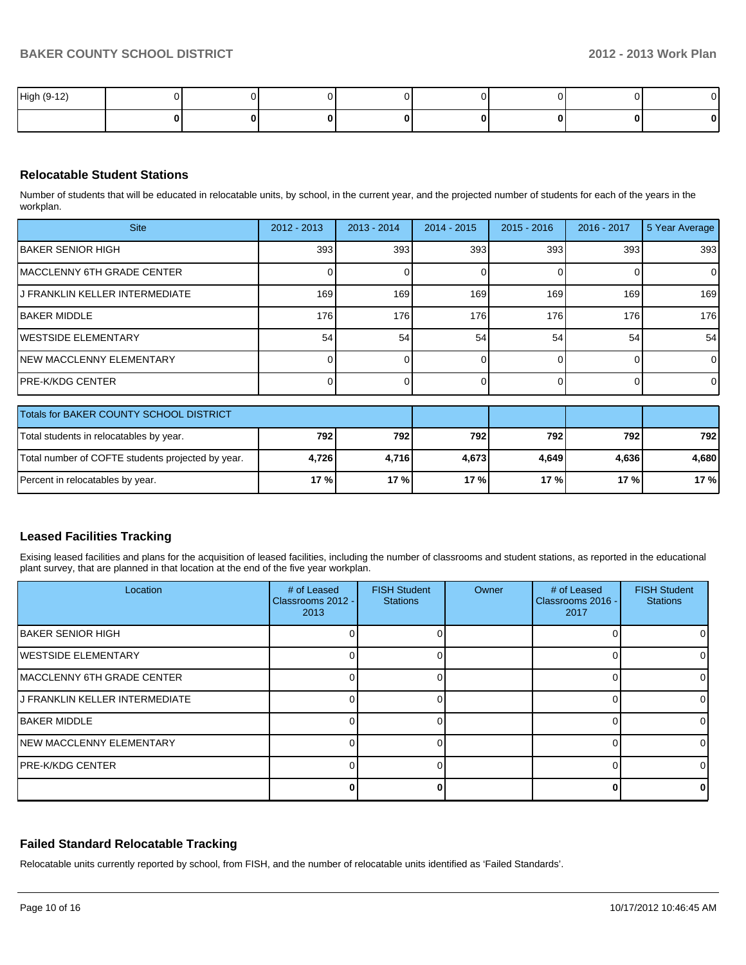| High (9-12) |  |  |  |  |
|-------------|--|--|--|--|
|             |  |  |  |  |

### **Relocatable Student Stations**

Number of students that will be educated in relocatable units, by school, in the current year, and the projected number of students for each of the years in the workplan.

| <b>Site</b>                                       | $2012 - 2013$ | $2013 - 2014$ | 2014 - 2015 | $2015 - 2016$ | 2016 - 2017 | 5 Year Average |
|---------------------------------------------------|---------------|---------------|-------------|---------------|-------------|----------------|
| <b>IBAKER SENIOR HIGH</b>                         | 393           | 393           | 393         | 393           | 393         | 393            |
| IMACCLENNY 6TH GRADE CENTER                       |               |               |             | $\Omega$      | ი           | $\overline{0}$ |
| J FRANKLIN KELLER INTERMEDIATE                    | 169           | 169           | 169         | 169           | 169         | 169            |
| IBAKER MIDDLE                                     | 176           | 176           | 176         | 176           | 176         | 176            |
| IWESTSIDE ELEMENTARY                              | 54            | 54            | 54          | 54            | 54          | 54             |
| INEW MACCLENNY ELEMENTARY                         |               |               |             |               |             | $\Omega$       |
| IPRE-K/KDG CENTER                                 |               |               |             |               |             | $\overline{0}$ |
| Totals for BAKER COUNTY SCHOOL DISTRICT           |               |               |             |               |             |                |
| Total students in relocatables by year.           | 792           | 792           | 792         | 792           | 792         | 792            |
| Total number of COFTE students projected by year. | 4,726         | 4,716         | 4,673       | 4,649         | 4,636       | 4,680          |
| Percent in relocatables by year.                  | 17%           | 17 %          | 17 %        | 17%           | 17 %        | 17 %           |

#### **Leased Facilities Tracking**

Exising leased facilities and plans for the acquisition of leased facilities, including the number of classrooms and student stations, as reported in the educational plant survey, that are planned in that location at the end of the five year workplan.

| Location                          | # of Leased<br>Classrooms 2012 -<br>2013 | <b>FISH Student</b><br><b>Stations</b> | Owner | # of Leased<br>Classrooms 2016 -<br>2017 | <b>FISH Student</b><br><b>Stations</b> |
|-----------------------------------|------------------------------------------|----------------------------------------|-------|------------------------------------------|----------------------------------------|
| <b>IBAKER SENIOR HIGH</b>         |                                          |                                        |       |                                          |                                        |
| <b>WESTSIDE ELEMENTARY</b>        |                                          |                                        |       |                                          |                                        |
| <b>MACCLENNY 6TH GRADE CENTER</b> |                                          |                                        |       |                                          |                                        |
| IJ FRANKLIN KELLER INTERMEDIATE   |                                          |                                        |       |                                          |                                        |
| <b>IBAKER MIDDLE</b>              |                                          |                                        |       |                                          |                                        |
| <b>NEW MACCLENNY ELEMENTARY</b>   |                                          |                                        |       |                                          |                                        |
| <b>PRE-K/KDG CENTER</b>           |                                          |                                        |       |                                          |                                        |
|                                   |                                          |                                        |       |                                          |                                        |

#### **Failed Standard Relocatable Tracking**

Relocatable units currently reported by school, from FISH, and the number of relocatable units identified as 'Failed Standards'.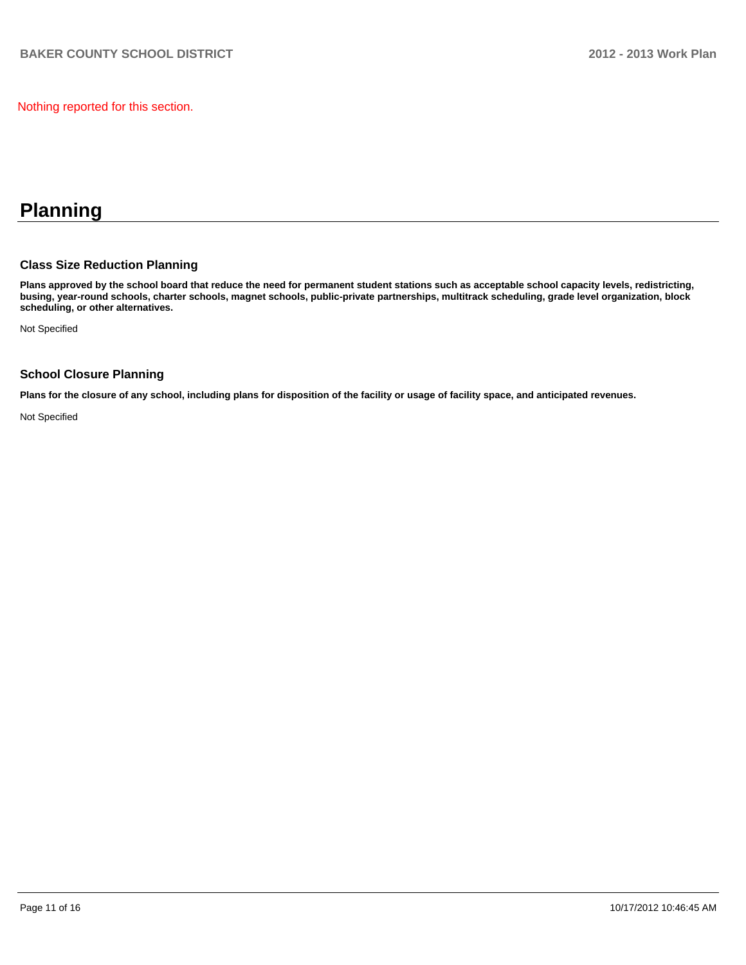Nothing reported for this section.

# **Planning**

### **Class Size Reduction Planning**

**Plans approved by the school board that reduce the need for permanent student stations such as acceptable school capacity levels, redistricting, busing, year-round schools, charter schools, magnet schools, public-private partnerships, multitrack scheduling, grade level organization, block scheduling, or other alternatives.**

Not Specified

## **School Closure Planning**

**Plans for the closure of any school, including plans for disposition of the facility or usage of facility space, and anticipated revenues.**

Not Specified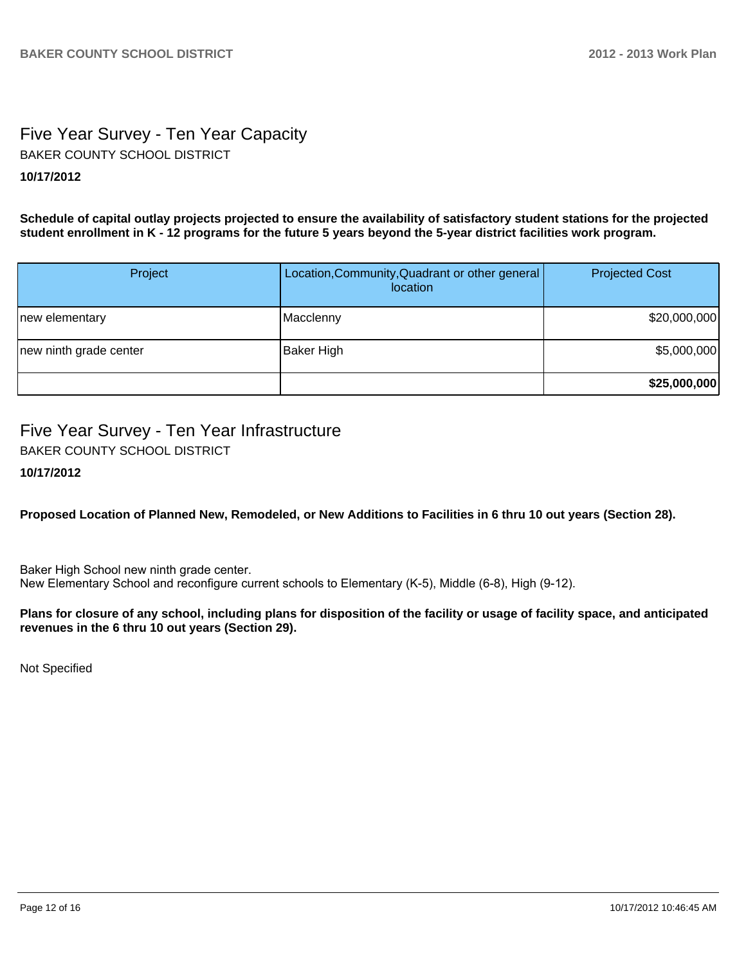# Five Year Survey - Ten Year Capacity **10/17/2012** BAKER COUNTY SCHOOL DISTRICT

**Schedule of capital outlay projects projected to ensure the availability of satisfactory student stations for the projected student enrollment in K - 12 programs for the future 5 years beyond the 5-year district facilities work program.**

| Project                | Location, Community, Quadrant or other general<br>location | <b>Projected Cost</b> |
|------------------------|------------------------------------------------------------|-----------------------|
| new elementary         | Macclenny                                                  | \$20,000,000          |
| new ninth grade center | Baker High                                                 | \$5,000,000           |
|                        |                                                            | \$25,000,000          |

# Five Year Survey - Ten Year Infrastructure

BAKER COUNTY SCHOOL DISTRICT

**10/17/2012**

**Proposed Location of Planned New, Remodeled, or New Additions to Facilities in 6 thru 10 out years (Section 28).**

Baker High School new ninth grade center. New Elementary School and reconfigure current schools to Elementary (K-5), Middle (6-8), High (9-12).

### **Plans for closure of any school, including plans for disposition of the facility or usage of facility space, and anticipated revenues in the 6 thru 10 out years (Section 29).**

Not Specified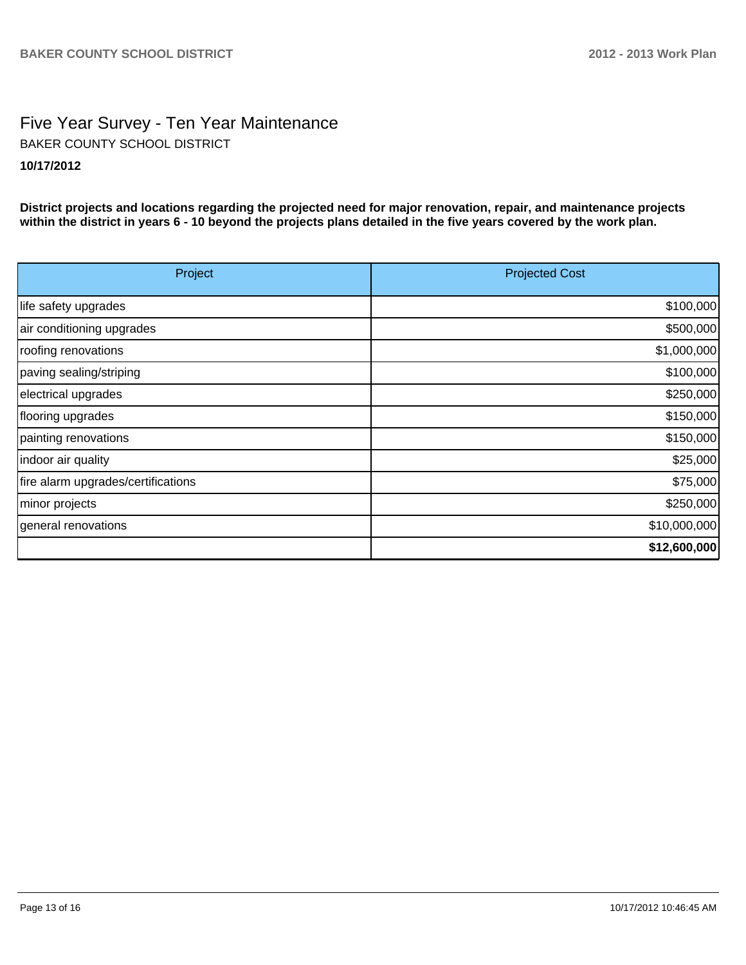# Five Year Survey - Ten Year Maintenance **10/17/2012** BAKER COUNTY SCHOOL DISTRICT

**District projects and locations regarding the projected need for major renovation, repair, and maintenance projects within the district in years 6 - 10 beyond the projects plans detailed in the five years covered by the work plan.**

| Project                            | <b>Projected Cost</b> |
|------------------------------------|-----------------------|
| life safety upgrades               | \$100,000             |
| air conditioning upgrades          | \$500,000             |
| roofing renovations                | \$1,000,000           |
| paving sealing/striping            | \$100,000             |
| electrical upgrades                | \$250,000             |
| flooring upgrades                  | \$150,000             |
| painting renovations               | \$150,000             |
| indoor air quality                 | \$25,000              |
| fire alarm upgrades/certifications | \$75,000              |
| minor projects                     | \$250,000             |
| general renovations                | \$10,000,000          |
|                                    | \$12,600,000          |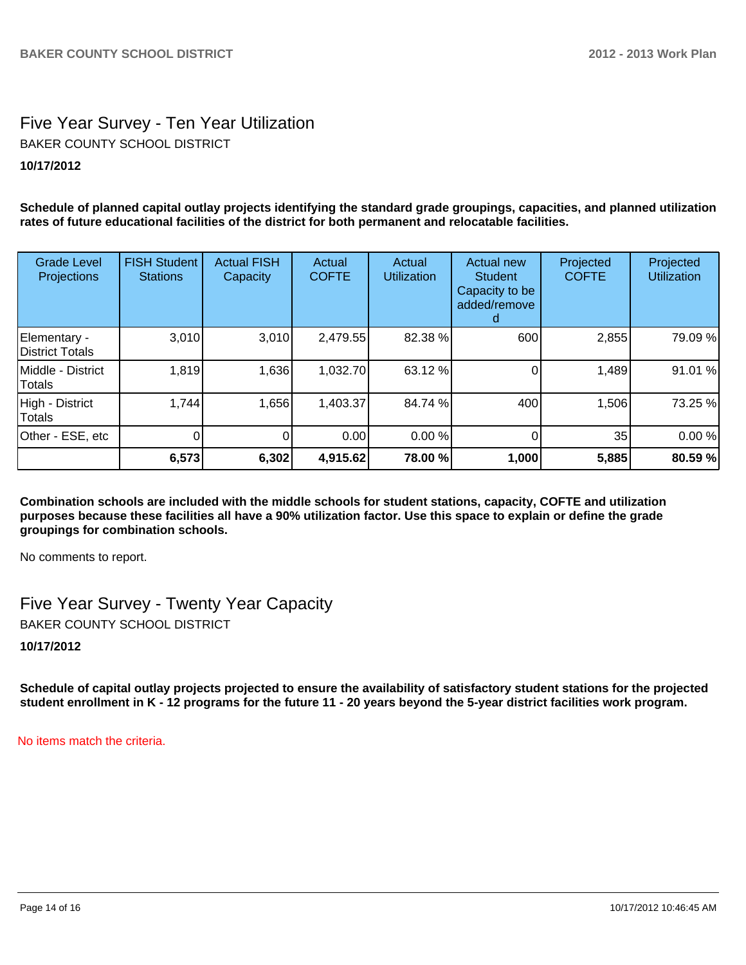# Five Year Survey - Ten Year Utilization **10/17/2012** BAKER COUNTY SCHOOL DISTRICT

**Schedule of planned capital outlay projects identifying the standard grade groupings, capacities, and planned utilization rates of future educational facilities of the district for both permanent and relocatable facilities.**

| <b>Grade Level</b><br>Projections | <b>FISH Student</b><br><b>Stations</b> | <b>Actual FISH</b><br>Capacity | Actual<br><b>COFTE</b> | Actual<br><b>Utilization</b> | Actual new<br><b>Student</b><br>Capacity to be<br>added/remove | Projected<br><b>COFTE</b> | Projected<br><b>Utilization</b> |
|-----------------------------------|----------------------------------------|--------------------------------|------------------------|------------------------------|----------------------------------------------------------------|---------------------------|---------------------------------|
| Elementary -<br>District Totals   | 3,010                                  | 3,010                          | 2,479.55               | 82.38 %                      | 600                                                            | 2,855                     | 79.09 %                         |
| Middle - District<br>Totals       | 1,819                                  | 1,636                          | 1,032.70               | 63.12 %                      |                                                                | 1,489                     | 91.01 %                         |
| High - District<br><b>Totals</b>  | 1,744                                  | 1,656                          | 1,403.37               | 84.74 %                      | 400                                                            | 1,506                     | 73.25 %                         |
| Other - ESE, etc                  |                                        | 0                              | 0.00                   | 0.00 %                       |                                                                | 35                        | 0.00%                           |
|                                   | 6,573                                  | 6,302                          | 4,915.62               | 78.00 %                      | 1,000                                                          | 5,885                     | 80.59 %                         |

**Combination schools are included with the middle schools for student stations, capacity, COFTE and utilization purposes because these facilities all have a 90% utilization factor. Use this space to explain or define the grade groupings for combination schools.**

No comments to report.

Five Year Survey - Twenty Year Capacity BAKER COUNTY SCHOOL DISTRICT

**10/17/2012**

**Schedule of capital outlay projects projected to ensure the availability of satisfactory student stations for the projected student enrollment in K - 12 programs for the future 11 - 20 years beyond the 5-year district facilities work program.**

No items match the criteria.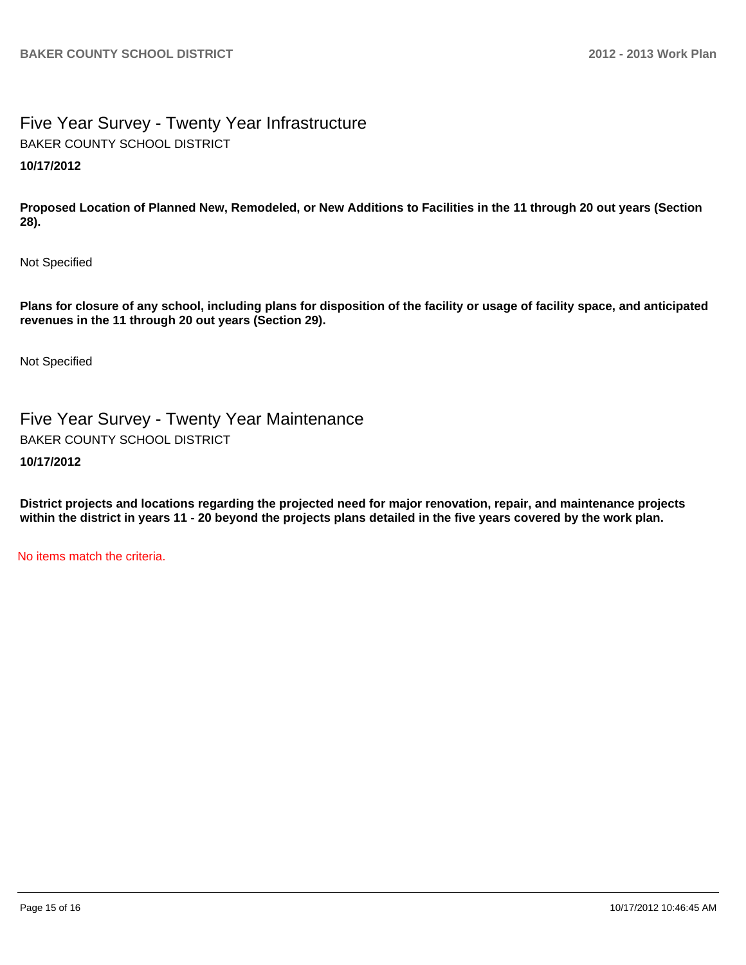# Five Year Survey - Twenty Year Infrastructure **10/17/2012** BAKER COUNTY SCHOOL DISTRICT

**Proposed Location of Planned New, Remodeled, or New Additions to Facilities in the 11 through 20 out years (Section 28).**

Not Specified

**Plans for closure of any school, including plans for disposition of the facility or usage of facility space, and anticipated revenues in the 11 through 20 out years (Section 29).**

Not Specified

Five Year Survey - Twenty Year Maintenance BAKER COUNTY SCHOOL DISTRICT

## **10/17/2012**

**District projects and locations regarding the projected need for major renovation, repair, and maintenance projects within the district in years 11 - 20 beyond the projects plans detailed in the five years covered by the work plan.**

No items match the criteria.